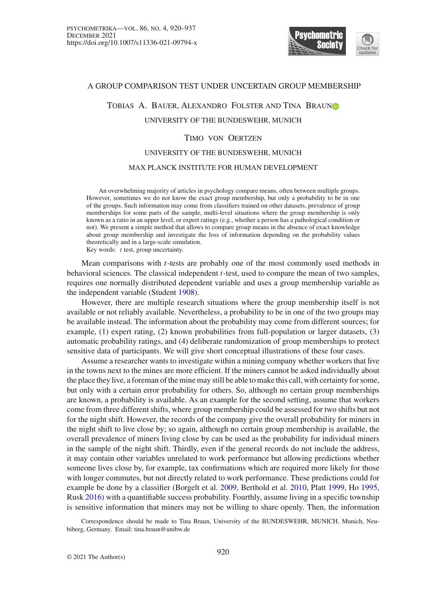

#### A GROUP COMPARISON TEST UNDER UNCERTAIN GROUP MEMBERSHIP

# Tobias A. Bauer, Alexandro Folster and Tina Brau[n](http://orcid.org/0000-0001-5901-910X)

## UNIVERSITY OF THE BUNDESWEHR, MUNICH

## Timo von Oertzen

## UNIVERSITY OF THE BUNDESWEHR, MUNICH

## MAX PLANCK INSTITUTE FOR HUMAN DEVELOPMENT

An overwhelming majority of articles in psychology compare means, often between multiple groups. However, sometimes we do not know the exact group membership, but only a probability to be in one of the groups. Such information may come from classifiers trained on other datasets, prevalence of group memberships for some parts of the sample, multi-level situations where the group membership is only known as a ratio in an upper level, or expert ratings (e.g., whether a person has a pathological condition or not). We present a simple method that allows to compare group means in the absence of exact knowledge about group membership and investigate the loss of information depending on the probability values theoretically and in a large-scale simulation.

Key words: *t* test, group uncertainty.

Mean comparisons with *t*-tests are probably one of the most commonly used methods in behavioral sciences. The classical independent *t*-test, used to compare the mean of two samples, requires one normally distributed dependent variable and uses a group membership variable as the independent variable (Student [1908](#page-16-0)).

However, there are multiple research situations where the group membership itself is not available or not reliably available. Nevertheless, a probability to be in one of the two groups may be available instead. The information about the probability may come from different sources; for example, (1) expert rating, (2) known probabilities from full-population or larger datasets, (3) automatic probability ratings, and (4) deliberate randomization of group memberships to protect sensitive data of participants. We will give short conceptual illustrations of these four cases.

Assume a researcher wants to investigate within a mining company whether workers that live in the towns next to the mines are more efficient. If the miners cannot be asked individually about the place they live, a foreman of the mine may still be able to make this call, with certainty for some, but only with a certain error probability for others. So, although no certain group memberships are known, a probability is available. As an example for the second setting, assume that workers come from three different shifts, where group membership could be assessed for two shifts but not for the night shift. However, the records of the company give the overall probability for miners in the night shift to live close by; so again, although no certain group membership is available, the overall prevalence of miners living close by can be used as the probability for individual miners in the sample of the night shift. Thirdly, even if the general records do not include the address, it may contain other variables unrelated to work performance but allowing predictions whether someone lives close by, for example, tax confirmations which are required more likely for those with longer commutes, but not directly related to work performance. These predictions could for example be done by a classifier (Borgelt et al. [2009,](#page-16-1) Berthold et al. [2010](#page-16-2), Platt [1999,](#page-16-3) Ho [1995](#page-16-4), Rusk [2016](#page-16-5)) with a quantifiable success probability. Fourthly, assume living in a specific township is sensitive information that miners may not be willing to share openly. Then, the information

Correspondence should be made to Tina Braun, University of the BUNDESWEHR, MUNICH, Munich, Neubiberg, Germany. Email: tina.braun@unibw.de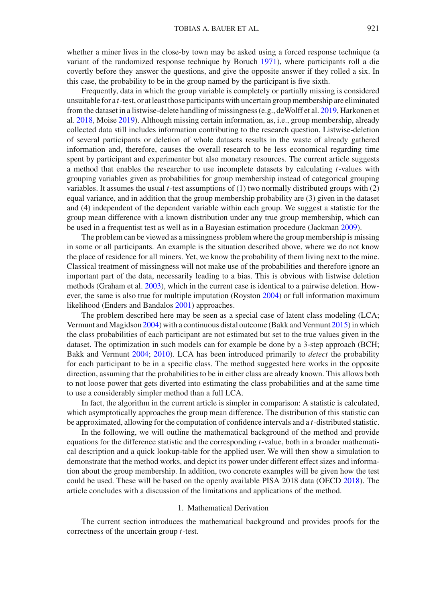whether a miner lives in the close-by town may be asked using a forced response technique (a variant of the randomized response technique by Boruch [1971](#page-16-6)), where participants roll a die covertly before they answer the questions, and give the opposite answer if they rolled a six. In this case, the probability to be in the group named by the participant is five sixth.

Frequently, data in which the group variable is completely or partially missing is considered unsuitable for a *t*-test, or at least those participants with uncertain group membership are eliminated from the dataset in a listwise-delete handling of missingness (e.g., deWolff et al. [2019](#page-16-7), Harkonen et al. [2018,](#page-16-8) Moise [2019](#page-16-9)). Although missing certain information, as, i.e., group membership, already collected data still includes information contributing to the research question. Listwise-deletion of several participants or deletion of whole datasets results in the waste of already gathered information and, therefore, causes the overall research to be less economical regarding time spent by participant and experimenter but also monetary resources. The current article suggests a method that enables the researcher to use incomplete datasets by calculating *t*-values with grouping variables given as probabilities for group membership instead of categorical grouping variables. It assumes the usual *t*-test assumptions of (1) two normally distributed groups with (2) equal variance, and in addition that the group membership probability are (3) given in the dataset and (4) independent of the dependent variable within each group. We suggest a statistic for the group mean difference with a known distribution under any true group membership, which can be used in a frequentist test as well as in a Bayesian estimation procedure (Jackman [2009](#page-16-10)).

The problem can be viewed as a missingness problem where the group membership is missing in some or all participants. An example is the situation described above, where we do not know the place of residence for all miners. Yet, we know the probability of them living next to the mine. Classical treatment of missingness will not make use of the probabilities and therefore ignore an important part of the data, necessarily leading to a bias. This is obvious with listwise deletion methods (Graham et al[.](#page-16-11) [2003](#page-16-11)), which in the current case is identical to a pairwise deletion. However, the same is also true for multiple imputation (Roysto[n](#page-16-12) [2004](#page-16-12)) or full information maximum likelihood (Enders and Bandalos [2001\)](#page-16-13) approaches.

The problem described here may be seen as a special case of latent class modeling (LCA; Vermunt and Magidson [2004\)](#page-17-0) with a continuous distal outcome (Bakk and Vermun[t](#page-16-14) [2015](#page-16-14)) in which the class probabilities of each participant are not estimated but set to the true values given in the dataset. The optimization in such models can for example be done by a 3-step approach (BCH; Bakk and Vermunt [2004;](#page-16-15) [2010](#page-17-1)). LCA has been introduced primarily to *detect* the probability for each participant to be in a specific class. The method suggested here works in the opposite direction, assuming that the probabilities to be in either class are already known. This allows both to not loose power that gets diverted into estimating the class probabilities and at the same time to use a considerably simpler method than a full LCA.

In fact, the algorithm in the current article is simpler in comparison: A statistic is calculated, which asymptotically approaches the group mean difference. The distribution of this statistic can be approximated, allowing for the computation of confidence intervals and a *t*-distributed statistic.

In the following, we will outline the mathematical background of the method and provide equations for the difference statistic and the corresponding *t*-value, both in a broader mathematical description and a quick lookup-table for the applied user. We will then show a simulation to demonstrate that the method works, and depict its power under different effect sizes and information about the group membership. In addition, two concrete examples will be given how the test could be used. These will be based on the openly available PISA 2018 data (OECD [2018\)](#page-16-16). The article concludes with a discussion of the limitations and applications of the method.

#### 1. Mathematical Derivation

The current section introduces the mathematical background and provides proofs for the correctness of the uncertain group *t*-test.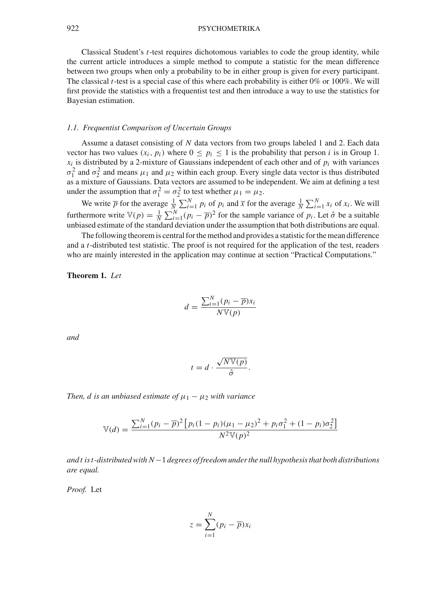Classical Student's *t*-test requires dichotomous variables to code the group identity, while the current article introduces a simple method to compute a statistic for the mean difference between two groups when only a probability to be in either group is given for every participant. The classical *t*-test is a special case of this where each probability is either 0% or 100%. We will first provide the statistics with a frequentist test and then introduce a way to use the statistics for Bayesian estimation.

## *1.1. Frequentist Comparison of Uncertain Groups*

Assume a dataset consisting of *N* data vectors from two groups labeled 1 and 2. Each data vector has two values  $(x_i, p_i)$  where  $0 \leq p_i \leq 1$  is the probability that person *i* is in Group 1.  $x_i$  is distributed by a 2-mixture of Gaussians independent of each other and of  $p_i$  with variances  $\sigma_1^2$  and  $\sigma_2^2$  and means  $\mu_1$  and  $\mu_2$  within each group. Every single data vector is thus distributed as a mixture of Gaussians. Data vectors are assumed to be independent. We aim at defining a test under the assumption that  $\sigma_1^2 = \sigma_2^2$  to test whether  $\mu_1 = \mu_2$ .

We write  $\overline{p}$  for the average  $\frac{1}{N} \sum_{i=1}^{N} p_i$  of  $p_i$  and  $\overline{x}$  for the average  $\frac{1}{N} \sum_{i=1}^{N} x_i$  of  $x_i$ . We will furthermore write  $\mathbb{V}(p) = \frac{1}{N} \sum_{i=1}^{N} (p_i - \overline{p})^2$  for the sample variance of  $p_i$ . Let  $\hat{\sigma}$  be a suitable unbiased estimate of the standard deviation under the assumption that both distributions are equal.

The following theorem is central for the method and provides a statistic for the mean difference and a *t*-distributed test statistic. The proof is not required for the application of the test, readers who are mainly interested in the application may continue at section "Practical Computations."

<span id="page-2-0"></span>**Theorem 1.** *Let*

$$
d = \frac{\sum_{i=1}^{N} (p_i - \overline{p}) x_i}{N \mathbb{V}(p)}
$$

*and*

$$
t = d \cdot \frac{\sqrt{N \mathbb{V}(p)}}{\hat{\sigma}}.
$$

*Then, d is an unbiased estimate of*  $\mu_1 - \mu_2$  *with variance* 

$$
\mathbb{V}(d) = \frac{\sum_{i=1}^{N} (p_i - \overline{p})^2 \left[ p_i (1 - p_i) (\mu_1 - \mu_2)^2 + p_i \sigma_1^2 + (1 - p_i) \sigma_2^2 \right]}{N^2 \mathbb{V}(p)^2}
$$

*and t is t -distributed with N*−1 *degrees of freedom under the null hypothesis that both distributions are equal.*

*Proof.* Let

$$
z = \sum_{i=1}^{N} (p_i - \overline{p}) x_i
$$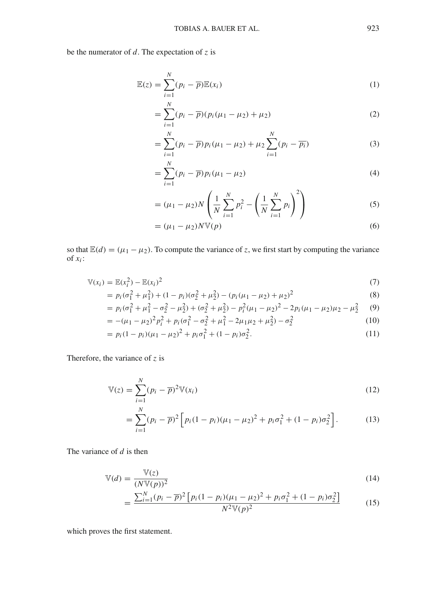be the numerator of *d*. The expectation of *z* is

$$
\mathbb{E}(z) = \sum_{i=1}^{N} (p_i - \overline{p}) \mathbb{E}(x_i)
$$
 (1)

$$
= \sum_{i=1}^{N} (p_i - \overline{p})(p_i(\mu_1 - \mu_2) + \mu_2)
$$
 (2)

$$
= \sum_{i=1}^{N} (p_i - \overline{p}) p_i (\mu_1 - \mu_2) + \mu_2 \sum_{i=1}^{N} (p_i - \overline{p_i})
$$
 (3)

$$
=\sum_{i=1}^{N}(p_i-\overline{p})p_i(\mu_1-\mu_2)
$$
\n(4)

$$
= (\mu_1 - \mu_2) N \left( \frac{1}{N} \sum_{i=1}^{N} p_i^2 - \left( \frac{1}{N} \sum_{i=1}^{N} p_i \right)^2 \right)
$$
 (5)

$$
= (\mu_1 - \mu_2)N \mathbb{V}(p) \tag{6}
$$

so that  $\mathbb{E}(d) = (\mu_1 - \mu_2)$ . To compute the variance of *z*, we first start by computing the variance of  $x_i$ :

$$
\mathbb{V}(x_i) = \mathbb{E}(x_i^2) - \mathbb{E}(x_i)^2 \tag{7}
$$

$$
= p_i(\sigma_1^2 + \mu_1^2) + (1 - p_i)(\sigma_2^2 + \mu_2^2) - (p_i(\mu_1 - \mu_2) + \mu_2)^2
$$
\n(8)

$$
= p_i(\sigma_1^2 + \mu_1^2 - \sigma_2^2 - \mu_2^2) + (\sigma_2^2 + \mu_2^2) - p_i^2(\mu_1 - \mu_2)^2 - 2p_i(\mu_1 - \mu_2)\mu_2 - \mu_2^2 \tag{9}
$$

$$
= -(\mu_1 - \mu_2)^2 p_i^2 + p_i (\sigma_1^2 - \sigma_2^2 + \mu_1^2 - 2\mu_1 \mu_2 + \mu_2^2) - \sigma_2^2 \tag{10}
$$

$$
= p_i (1 - p_i)(\mu_1 - \mu_2)^2 + p_i \sigma_1^2 + (1 - p_i) \sigma_2^2.
$$
 (11)

Therefore, the variance of *z* is

$$
\mathbb{V}(z) = \sum_{i=1}^{N} (p_i - \overline{p})^2 \mathbb{V}(x_i)
$$
\n(12)

$$
= \sum_{i=1}^{N} (p_i - \overline{p})^2 \left[ p_i (1 - p_i) (\mu_1 - \mu_2)^2 + p_i \sigma_1^2 + (1 - p_i) \sigma_2^2 \right]. \tag{13}
$$

The variance of *d* is then

$$
\mathbb{V}(d) = \frac{\mathbb{V}(z)}{(N\mathbb{V}(p))^2} \tag{14}
$$

$$
= \frac{\sum_{i=1}^{N} (p_i - \overline{p})^2 \left[ p_i (1 - p_i) (\mu_1 - \mu_2)^2 + p_i \sigma_1^2 + (1 - p_i) \sigma_2^2 \right]}{N^2 \mathbb{V}(p)^2}
$$
(15)

which proves the first statement.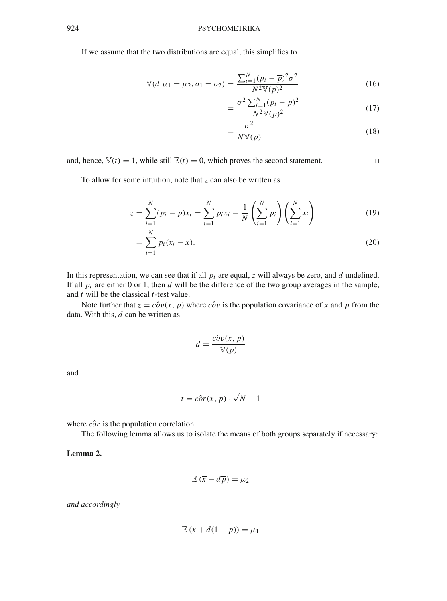If we assume that the two distributions are equal, this simplifies to

$$
\mathbb{V}(d|\mu_1 = \mu_2, \sigma_1 = \sigma_2) = \frac{\sum_{i=1}^{N} (p_i - \overline{p})^2 \sigma^2}{N^2 \mathbb{V}(p)^2}
$$
(16)

$$
=\frac{\sigma^2\sum_{i=1}^N(p_i-\overline{p})^2}{N^2\mathbb{V}(p)^2}\tag{17}
$$

$$
=\frac{\sigma^2}{N V(p)}\tag{18}
$$

and, hence,  $\mathbb{V}(t) = 1$ , while still  $\mathbb{E}(t) = 0$ , which proves the second statement.

To allow for some intuition, note that *z* can also be written as

$$
z = \sum_{i=1}^{N} (p_i - \overline{p}) x_i = \sum_{i=1}^{N} p_i x_i - \frac{1}{N} \left( \sum_{i=1}^{N} p_i \right) \left( \sum_{i=1}^{N} x_i \right)
$$
(19)

$$
=\sum_{i=1}^{N}p_i(x_i-\overline{x}).
$$
\n(20)

In this representation, we can see that if all *pi* are equal, *z* will always be zero, and *d* undefined. If all  $p_i$  are either 0 or 1, then *d* will be the difference of the two group averages in the sample, and *t* will be the classical *t*-test value.

Note further that  $z = c\hat{\partial}v(x, p)$  where  $c\hat{\partial}v$  is the population covariance of x and p from the data. With this, *d* can be written as

$$
d = \frac{\hat{cov}(x, p)}{\mathbb{V}(p)}
$$

and

$$
t = c\hat{o}r(x, p) \cdot \sqrt{N - 1}
$$

where  $\hat{cor}$  is the population correlation.

<span id="page-4-0"></span>The following lemma allows us to isolate the means of both groups separately if necessary:

**Lemma 2.**

$$
\mathbb{E}\left(\overline{x} - d\overline{p}\right) = \mu_2
$$

*and accordingly*

$$
\mathbb{E}\,(\overline{x}+d(1-\overline{p}))=\mu_1
$$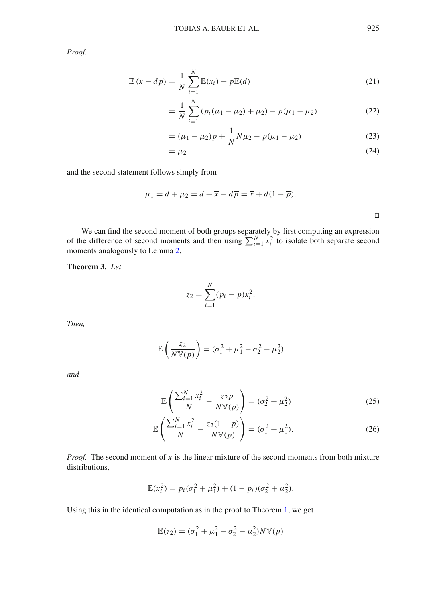*Proof.*

$$
\mathbb{E}(\overline{x} - d\overline{p}) = \frac{1}{N} \sum_{i=1}^{N} \mathbb{E}(x_i) - \overline{p} \mathbb{E}(d)
$$
\n(21)

$$
= \frac{1}{N} \sum_{i=1}^{N} (p_i(\mu_1 - \mu_2) + \mu_2) - \overline{p}(\mu_1 - \mu_2)
$$
 (22)

$$
= (\mu_1 - \mu_2)\overline{p} + \frac{1}{N}N\mu_2 - \overline{p}(\mu_1 - \mu_2)
$$
 (23)

$$
=\mu_2\tag{24}
$$

and the second statement follows simply from

$$
\mu_1 = d + \mu_2 = d + \overline{x} - d\overline{p} = \overline{x} + d(1 - \overline{p}).
$$

We can find the second moment of both groups separately by first computing an expression of the difference of second moments and then using  $\sum_{i=1}^{N} x_i^2$  to isolate both separate second moments analogously to Lemma [2.](#page-4-0)

**Theorem 3.** *Let*

$$
z_2 = \sum_{i=1}^N (p_i - \overline{p}) x_i^2.
$$

*Then,*

$$
\mathbb{E}\left(\frac{z_2}{N\mathbb{V}(p)}\right) = (\sigma_1^2 + \mu_1^2 - \sigma_2^2 - \mu_2^2)
$$

*and*

$$
\mathbb{E}\left(\frac{\sum_{i=1}^{N} x_i^2}{N} - \frac{z_2 \overline{p}}{N \mathbb{V}(p)}\right) = (\sigma_2^2 + \mu_2^2) \tag{25}
$$

$$
\mathbb{E}\left(\frac{\sum_{i=1}^{N} x_i^2}{N} - \frac{z_2(1-\overline{p})}{N\mathbb{V}(p)}\right) = (\sigma_1^2 + \mu_1^2). \tag{26}
$$

*Proof.* The second moment of *x* is the linear mixture of the second moments from both mixture distributions,

$$
\mathbb{E}(x_i^2) = p_i(\sigma_1^2 + \mu_1^2) + (1 - p_i)(\sigma_2^2 + \mu_2^2).
$$

Using this in the identical computation as in the proof to Theorem [1,](#page-2-0) we get

$$
\mathbb{E}(z_2) = (\sigma_1^2 + \mu_1^2 - \sigma_2^2 - \mu_2^2)N\mathbb{V}(p)
$$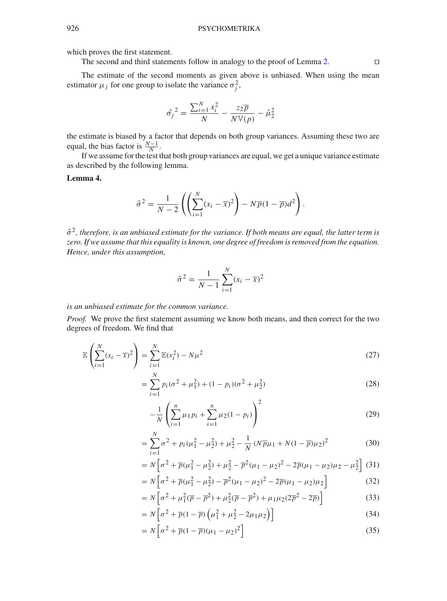which proves the first statement.

The second and third statements follow in analogy to the proof of Lemma [2.](#page-4-0)  $\Box$ 

The estimate of the second moments as given above is unbiased. When using the mean estimator  $\mu_j$  for one group to isolate the variance  $\sigma_j^2$ ,

$$
\hat{\sigma_j}^2 = \frac{\sum_{i=1}^N x_i^2}{N} - \frac{z_2 \overline{p}}{N \mathbb{V}(p)} - \hat{\mu}_2^2
$$

the estimate is biased by a factor that depends on both group variances. Assuming these two are equal, the bias factor is  $\frac{N-1}{N}$ .

If we assume for the test that both group variances are equal, we get a unique variance estimate as described by the following lemma.

#### **Lemma 4.**

$$
\hat{\sigma}^2 = \frac{1}{N-2} \left( \left( \sum_{i=1}^N (x_i - \overline{x})^2 \right) - N \overline{p} (1 - \overline{p}) d^2 \right).
$$

 $\hat{\sigma}^2$ , therefore, is an unbiased estimate for the variance. If both means are equal, the latter term is *zero. If we assume that this equality is known, one degree of freedom is removed from the equation. Hence, under this assumption,*

$$
\hat{\sigma}^2 = \frac{1}{N-1} \sum_{i=1}^{N} (x_i - \overline{x})^2
$$

*is an unbiased estimate for the common variance.*

*Proof.* We prove the first statement assuming we know both means, and then correct for the two degrees of freedom. We find that

$$
\mathbb{E}\left(\sum_{i=1}^{N}(x_i - \overline{x})^2\right) = \sum_{i=1}^{N}\mathbb{E}(x_i^2) - N\mu^2
$$
\n(27)

$$
= \sum_{i=1}^{N} p_i (\sigma^2 + \mu_1^2) + (1 - p_i)(\sigma^2 + \mu_2^2)
$$
 (28)

$$
-\frac{1}{N}\left(\sum_{i=1}^{n}\mu_1 p_i + \sum_{i=1}^{n}\mu_2(1-p_i)\right)^2\tag{29}
$$

$$
= \sum_{i=1}^{N} \sigma^2 + p_i (\mu_1^2 - \mu_2^2) + \mu_2^2 - \frac{1}{N} (N \overline{p}\mu_1 + N(1 - \overline{p})\mu_2)^2
$$
 (30)

$$
= N\left[\sigma^2 + \overline{p}(\mu_1^2 - \mu_2^2) + \mu_2^2 - \overline{p}^2(\mu_1 - \mu_2)^2 - 2\overline{p}(\mu_1 - \mu_2)\mu_2 - \mu_2^2\right]
$$
 (31)

$$
= N\left[\sigma^2 + \overline{p}(\mu_1^2 - \mu_2^2) - \overline{p}^2(\mu_1 - \mu_2)^2 - 2\overline{p}(\mu_1 - \mu_2)\mu_2\right]
$$
(32)

$$
= N \left[ \sigma^2 + \mu_1^2 (\overline{p} - \overline{p}^2) + \mu_2^2 (\overline{p} - \overline{p}^2) + \mu_1 \mu_2 (2\overline{p}^2 - 2\overline{p}) \right]
$$
(33)

$$
= N\left[\sigma^2 + \overline{p}(1-\overline{p})\left(\mu_1^2 + \mu_2^2 - 2\mu_1\mu_2\right)\right]
$$
\n(34)

$$
=N\left[\sigma^2 + \overline{p}(1-\overline{p})(\mu_1-\mu_2)^2\right]
$$
\n(35)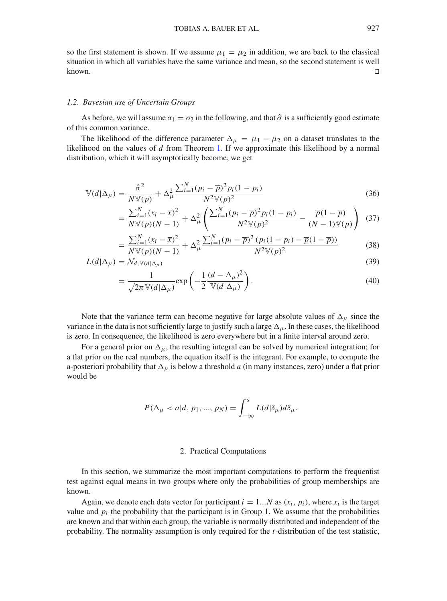so the first statement is shown. If we assume  $\mu_1 = \mu_2$  in addition, we are back to the classical situation in which all variables have the same variance and mean, so the second statement is well known.  $\square$ 

#### *1.2. Bayesian use of Uncertain Groups*

As before, we will assume  $\sigma_1 = \sigma_2$  in the following, and that  $\hat{\sigma}$  is a sufficiently good estimate of this common variance.

The likelihood of the difference parameter  $\Delta_{\mu} = \mu_1 - \mu_2$  on a dataset translates to the likelihood on the values of *d* from Theorem [1.](#page-2-0) If we approximate this likelihood by a normal distribution, which it will asymptotically become, we get

$$
\mathbb{V}(d|\Delta_{\mu}) = \frac{\hat{\sigma}^2}{N\mathbb{V}(p)} + \Delta_{\mu}^2 \frac{\sum_{i=1}^N (p_i - \overline{p})^2 p_i (1 - p_i)}{N^2 \mathbb{V}(p)^2}
$$
(36)

$$
= \frac{\sum_{i=1}^{N} (x_i - \overline{x})^2}{N \mathbb{V}(p)(N-1)} + \Delta_{\mu}^2 \left( \frac{\sum_{i=1}^{N} (p_i - \overline{p})^2 p_i (1 - p_i)}{N^2 \mathbb{V}(p)^2} - \frac{\overline{p}(1 - \overline{p})}{(N-1) \mathbb{V}(p)} \right) (37)
$$

$$
= \frac{\sum_{i=1}^{N} (x_i - \overline{x})^2}{N \mathbb{V}(p)(N-1)} + \Delta_{\mu}^2 \frac{\sum_{i=1}^{N} (p_i - \overline{p})^2 (p_i(1 - p_i) - \overline{p}(1 - \overline{p}))}{N^2 \mathbb{V}(p)^2}
$$
(38)

$$
L(d|\Delta_{\mu}) = \mathcal{N}_{d,\mathbb{V}(d|\Delta_{\mu})}
$$
\n(39)

$$
= \frac{1}{\sqrt{2\pi \mathbb{V}(d|\Delta_{\mu})}} \exp\left(-\frac{1}{2} \frac{(d-\Delta_{\mu})^2}{\mathbb{V}(d|\Delta_{\mu})}\right).
$$
(40)

Note that the variance term can become negative for large absolute values of  $\Delta_{\mu}$  since the variance in the data is not sufficiently large to justify such a large  $\Delta_{\mu}$ . In these cases, the likelihood is zero. In consequence, the likelihood is zero everywhere but in a finite interval around zero.

For a general prior on  $\Delta_{\mu}$ , the resulting integral can be solved by numerical integration; for a flat prior on the real numbers, the equation itself is the integrant. For example, to compute the a-posteriori probability that  $\Delta_{\mu}$  is below a threshold *a* (in many instances, zero) under a flat prior would be

$$
P(\Delta_{\mu} < a | d, p_1, ..., p_N) = \int_{-\infty}^{a} L(d | \delta_{\mu}) d \delta_{\mu}.
$$

#### 2. Practical Computations

In this section, we summarize the most important computations to perform the frequentist test against equal means in two groups where only the probabilities of group memberships are known.

Again, we denote each data vector for participant  $i = 1...N$  as  $(x_i, p_i)$ , where  $x_i$  is the target value and  $p_i$  the probability that the participant is in Group 1. We assume that the probabilities are known and that within each group, the variable is normally distributed and independent of the probability. The normality assumption is only required for the *t*-distribution of the test statistic,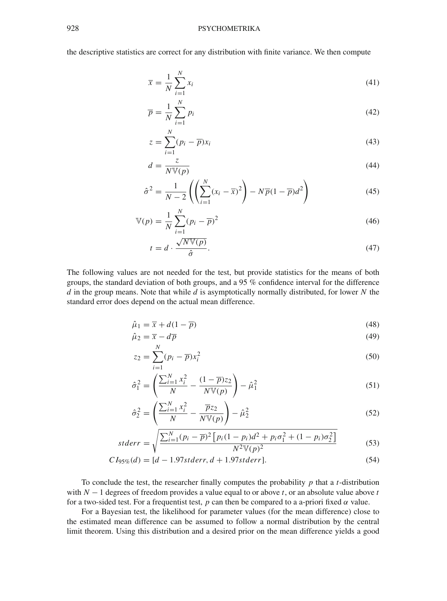the descriptive statistics are correct for any distribution with finite variance. We then compute

$$
\overline{x} = \frac{1}{N} \sum_{i=1}^{N} x_i
$$
\n(41)

$$
\overline{p} = \frac{1}{N} \sum_{i=1}^{N} p_i
$$
\n(42)

$$
z = \sum_{i=1}^{N} (p_i - \overline{p}) x_i
$$
\n(43)

$$
d = \frac{z}{N \mathbb{V}(p)}\tag{44}
$$

$$
\hat{\sigma}^2 = \frac{1}{N-2} \left( \left( \sum_{i=1}^N (x_i - \overline{x})^2 \right) - N \overline{p} (1 - \overline{p}) d^2 \right) \tag{45}
$$

$$
\mathbb{V}(p) = \frac{1}{N} \sum_{i=1}^{N} (p_i - \overline{p})^2
$$
 (46)

$$
t = d \cdot \frac{\sqrt{N \mathbb{V}(p)}}{\hat{\sigma}}.\tag{47}
$$

The following values are not needed for the test, but provide statistics for the means of both groups, the standard deviation of both groups, and a 95 % confidence interval for the difference *d* in the group means. Note that while *d* is asymptotically normally distributed, for lower *N* the standard error does depend on the actual mean difference.

$$
\hat{\mu}_1 = \overline{x} + d(1 - \overline{p})\tag{48}
$$

$$
\hat{\mu}_2 = \overline{x} - d\overline{p} \tag{49}
$$

$$
z_2 = \sum_{i=1}^{N} (p_i - \overline{p}) x_i^2
$$
\n
$$
(50)
$$

$$
\hat{\sigma}_1^2 = \left(\frac{\sum_{i=1}^N x_i^2}{N} - \frac{(1-\overline{p})z_2}{N\mathbb{V}(p)}\right) - \hat{\mu}_1^2\tag{51}
$$

$$
\hat{\sigma}_2^2 = \left(\frac{\sum_{i=1}^N x_i^2}{N} - \frac{\overline{p}z_2}{N\mathbb{V}(p)}\right) - \hat{\mu}_2^2\tag{52}
$$

$$
stderr = \sqrt{\frac{\sum_{i=1}^{N} (p_i - \overline{p})^2 \left[ p_i (1 - p_i) d^2 + p_i \sigma_1^2 + (1 - p_i) \sigma_2^2 \right]}{N^2 \mathbb{V}(p)^2}}
$$
(53)

$$
C I_{95\%}(d) = [d - 1.97stder, d + 1.97stder]. \tag{54}
$$

To conclude the test, the researcher finally computes the probability *p* that a *t*-distribution with  $N-1$  degrees of freedom provides a value equal to or above *t*, or an absolute value above *t* for a two-sided test. For a frequentist test,  $p$  can then be compared to a a-priori fixed  $\alpha$  value.

For a Bayesian test, the likelihood for parameter values (for the mean difference) close to the estimated mean difference can be assumed to follow a normal distribution by the central limit theorem. Using this distribution and a desired prior on the mean difference yields a good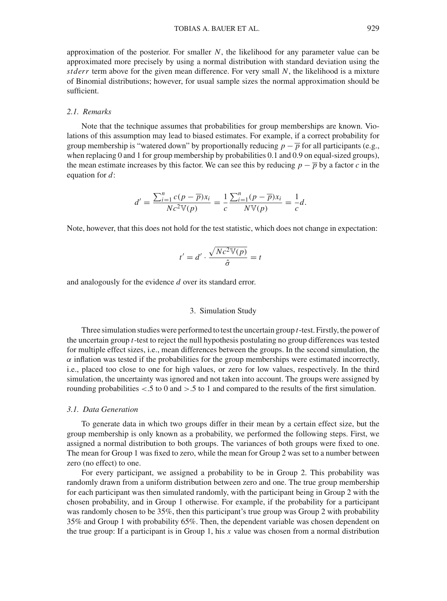approximation of the posterior. For smaller *N*, the likelihood for any parameter value can be approximated more precisely by using a normal distribution with standard deviation using the *stderr* term above for the given mean difference. For very small *N*, the likelihood is a mixture of Binomial distributions; however, for usual sample sizes the normal approximation should be sufficient.

## *2.1. Remarks*

Note that the technique assumes that probabilities for group memberships are known. Violations of this assumption may lead to biased estimates. For example, if a correct probability for group membership is "watered down" by proportionally reducing  $p - \overline{p}$  for all participants (e.g., when replacing 0 and 1 for group membership by probabilities 0.1 and 0.9 on equal-sized groups), the mean estimate increases by this factor. We can see this by reducing  $p - \overline{p}$  by a factor *c* in the equation for *d*:

$$
d' = \frac{\sum_{i=1}^{n} c(p - \overline{p}) x_i}{Nc^2 \mathbb{V}(p)} = \frac{1}{c} \frac{\sum_{i=1}^{n} (p - \overline{p}) x_i}{N \mathbb{V}(p)} = \frac{1}{c} d.
$$

Note, however, that this does not hold for the test statistic, which does not change in expectation:

$$
t' = d' \cdot \frac{\sqrt{Nc^2 \mathbb{V}(p)}}{\hat{\sigma}} = t
$$

and analogously for the evidence *d* over its standard error.

#### 3. Simulation Study

Three simulation studies were performed to test the uncertain group *t*-test. Firstly, the power of the uncertain group *t*-test to reject the null hypothesis postulating no group differences was tested for multiple effect sizes, i.e., mean differences between the groups. In the second simulation, the  $\alpha$  inflation was tested if the probabilities for the group memberships were estimated incorrectly, i.e., placed too close to one for high values, or zero for low values, respectively. In the third simulation, the uncertainty was ignored and not taken into account. The groups were assigned by rounding probabilities  $\lt 0.5$  to 0 and  $\gt 0.5$  to 1 and compared to the results of the first simulation.

#### *3.1. Data Generation*

To generate data in which two groups differ in their mean by a certain effect size, but the group membership is only known as a probability, we performed the following steps. First, we assigned a normal distribution to both groups. The variances of both groups were fixed to one. The mean for Group 1 was fixed to zero, while the mean for Group 2 was set to a number between zero (no effect) to one.

For every participant, we assigned a probability to be in Group 2. This probability was randomly drawn from a uniform distribution between zero and one. The true group membership for each participant was then simulated randomly, with the participant being in Group 2 with the chosen probability, and in Group 1 otherwise. For example, if the probability for a participant was randomly chosen to be 35%, then this participant's true group was Group 2 with probability 35% and Group 1 with probability 65%. Then, the dependent variable was chosen dependent on the true group: If a participant is in Group 1, his *x* value was chosen from a normal distribution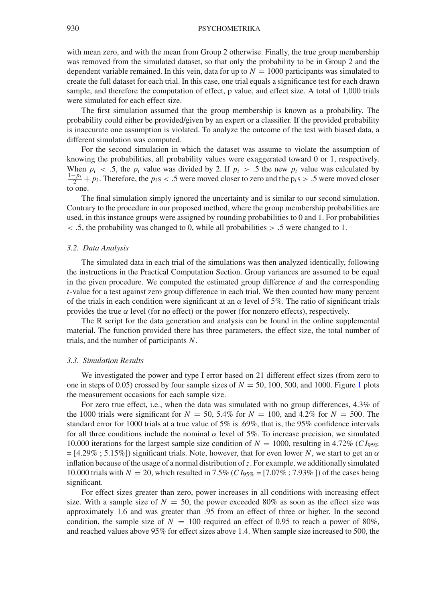## 930 PSYCHOMETRIKA

with mean zero, and with the mean from Group 2 otherwise. Finally, the true group membership was removed from the simulated dataset, so that only the probability to be in Group 2 and the dependent variable remained. In this vein, data for up to  $N = 1000$  participants was simulated to create the full dataset for each trial. In this case, one trial equals a significance test for each drawn sample, and therefore the computation of effect, p value, and effect size. A total of 1,000 trials were simulated for each effect size.

The first simulation assumed that the group membership is known as a probability. The probability could either be provided/given by an expert or a classifier. If the provided probability is inaccurate one assumption is violated. To analyze the outcome of the test with biased data, a different simulation was computed.

For the second simulation in which the dataset was assume to violate the assumption of knowing the probabilities, all probability values were exaggerated toward 0 or 1, respectively. When  $p_i < .5$ , the  $p_i$  value was divided by 2. If  $p_i > .5$  the new  $p_i$  value was calculated by  $\frac{1-p_i}{2} + p_i$ . Therefore, the  $p_i s < .5$  were moved closer to zero and the  $p_i s > .5$  were moved closer to one.

The final simulation simply ignored the uncertainty and is similar to our second simulation. Contrary to the procedure in our proposed method, where the group membership probabilities are used, in this instance groups were assigned by rounding probabilities to 0 and 1. For probabilities  $\leq$  .5, the probability was changed to 0, while all probabilities  $>$  .5 were changed to 1.

#### *3.2. Data Analysis*

The simulated data in each trial of the simulations was then analyzed identically, following the instructions in the Practical Computation Section. Group variances are assumed to be equal in the given procedure. We computed the estimated group difference *d* and the corresponding *t*-value for a test against zero group difference in each trial. We then counted how many percent of the trials in each condition were significant at an  $\alpha$  level of 5%. The ratio of significant trials provides the true  $\alpha$  level (for no effect) or the power (for nonzero effects), respectively.

The R script for the data generation and analysis can be found in the online supplemental material. The function provided there has three parameters, the effect size, the total number of trials, and the number of participants *N*.

#### *3.3. Simulation Results*

We investigated the power and type I error based on 21 different effect sizes (from zero to one in steps of 0.05) crossed by four sample sizes of  $N = 50$ , [1](#page-11-0)00, 500, and 1000. Figure 1 plots the measurement occasions for each sample size.

For zero true effect, i.e., when the data was simulated with no group differences, 4.3% of the 1000 trials were significant for  $N = 50, 5.4\%$  for  $N = 100$ , and 4.2% for  $N = 500$ . The standard error for 1000 trials at a true value of 5% is .69%, that is, the 95% confidence intervals for all three conditions include the nominal  $\alpha$  level of 5%. To increase precision, we simulated 10,000 iterations for the largest sample size condition of  $N = 1000$ , resulting in 4.72% (*CI*<sub>95%</sub>)  $=$  [4.29% ; 5.15%]) significant trials. Note, however, that for even lower *N*, we start to get an  $\alpha$ inflation because of the usage of a normal distribution of*z*. For example, we additionally simulated 10.000 trials with  $N = 20$ , which resulted in 7.5% (*C I*<sub>95%</sub> = [7.07% ; 7.93% ]) of the cases being significant.

For effect sizes greater than zero, power increases in all conditions with increasing effect size. With a sample size of  $N = 50$ , the power exceeded 80% as soon as the effect size was approximately 1.6 and was greater than .95 from an effect of three or higher. In the second condition, the sample size of  $N = 100$  required an effect of 0.95 to reach a power of 80%, and reached values above 95% for effect sizes above 1.4. When sample size increased to 500, the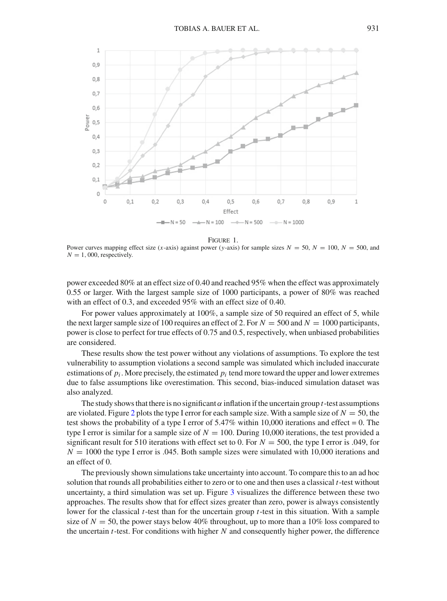

Figure 1.

<span id="page-11-0"></span>Power curves mapping effect size (*x*-axis) against power (*y*-axis) for sample sizes  $N = 50$ ,  $N = 100$ ,  $N = 500$ , and  $N = 1,000$ , respectively.

power exceeded 80% at an effect size of 0.40 and reached 95% when the effect was approximately 0.55 or larger. With the largest sample size of 1000 participants, a power of 80% was reached with an effect of 0.3, and exceeded 95% with an effect size of 0.40.

For power values approximately at  $100\%$ , a sample size of 50 required an effect of 5, while the next larger sample size of 100 requires an effect of 2. For  $N = 500$  and  $N = 1000$  participants, power is close to perfect for true effects of 0.75 and 0.5, respectively, when unbiased probabilities are considered.

These results show the test power without any violations of assumptions. To explore the test vulnerability to assumption violations a second sample was simulated which included inaccurate estimations of  $p_i$ . More precisely, the estimated  $p_i$  tend more toward the upper and lower extremes due to false assumptions like overestimation. This second, bias-induced simulation dataset was also analyzed.

The study shows that there is no significant  $\alpha$  inflation if the uncertain group *t*-test assumptions are violated. Figure [2](#page-12-0) plots the type I error for each sample size. With a sample size of  $N = 50$ , the test shows the probability of a type I error of  $5.47\%$  within 10,000 iterations and effect = 0. The type I error is similar for a sample size of  $N = 100$ . During 10,000 iterations, the test provided a significant result for 510 iterations with effect set to 0. For  $N = 500$ , the type I error is .049, for  $N = 1000$  the type I error is .045. Both sample sizes were simulated with 10,000 iterations and an effect of 0.

The previously shown simulations take uncertainty into account. To compare this to an ad hoc solution that rounds all probabilities either to zero or to one and then uses a classical *t*-test without uncertainty, a third simulation was set up. Figure  $\frac{3}{2}$  $\frac{3}{2}$  $\frac{3}{2}$  visualizes the difference between these two approaches. The results show that for effect sizes greater than zero, power is always consistently lower for the classical *t*-test than for the uncertain group *t*-test in this situation. With a sample size of  $N = 50$ , the power stays below 40% throughout, up to more than a 10% loss compared to the uncertain *t*-test. For conditions with higher *N* and consequently higher power, the difference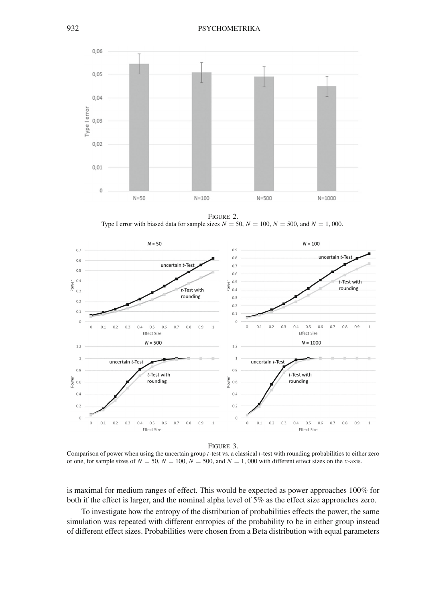

<span id="page-12-0"></span>Figure 2. Type I error with biased data for sample sizes  $N = 50$ ,  $N = 100$ ,  $N = 500$ , and  $N = 1$ , 000.



Figure 3.

<span id="page-12-1"></span>Comparison of power when using the uncertain group *t*-test vs. a classical *t*-test with rounding probabilities to either zero or one, for sample sizes of  $N = 50$ ,  $N = 100$ ,  $N = 500$ , and  $N = 1$ , 000 with different effect sizes on the *x*-axis.

is maximal for medium ranges of effect. This would be expected as power approaches 100% for both if the effect is larger, and the nominal alpha level of 5% as the effect size approaches zero.

To investigate how the entropy of the distribution of probabilities effects the power, the same simulation was repeated with different entropies of the probability to be in either group instead of different effect sizes. Probabilities were chosen from a Beta distribution with equal parameters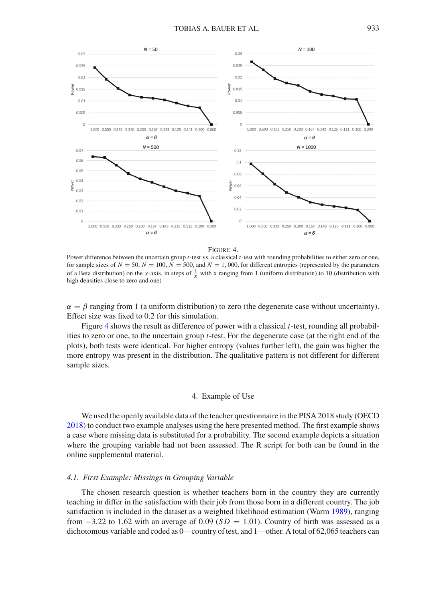



<span id="page-13-0"></span>Power difference between the uncertain group *t*-test vs. a classical *t*-test with rounding probabilities to either zero or one, for sample sizes of  $N = 50$ ,  $N = 100$ ,  $N = 500$ , and  $N = 1$ , 000, for different entropies (represented by the parameters of a Beta distribution) on the *x*-axis, in steps of  $\frac{1}{x}$  with x ranging from 1 (uniform distribution) to 10 (distribution with high densities close to zero and one)

 $\alpha = \beta$  ranging from 1 (a uniform distribution) to zero (the degenerate case without uncertainty). Effect size was fixed to 0.2 for this simulation.

Figure [4](#page-13-0) shows the result as difference of power with a classical *t*-test, rounding all probabilities to zero or one, to the uncertain group *t*-test. For the degenerate case (at the right end of the plots), both tests were identical. For higher entropy (values further left), the gain was higher the more entropy was present in the distribution. The qualitative pattern is not different for different sample sizes.

#### 4. Example of Use

We used the openly available data of the teacher questionnaire in the PISA 2018 study (OECD [2018\)](#page-16-16) to conduct two example analyses using the here presented method. The first example shows a case where missing data is substituted for a probability. The second example depicts a situation where the grouping variable had not been assessed. The R script for both can be found in the online supplemental material.

### *4.1. First Example: Missings in Grouping Variable*

The chosen research question is whether teachers born in the country they are currently teaching in differ in the satisfaction with their job from those born in a different country. The job satisfaction is included in the dataset as a weighted likelihood estimation (Warm [1989\)](#page-17-2), ranging from  $-3.22$  to 1.62 with an average of 0.09 (*SD* = 1.01). Country of birth was assessed as a dichotomous variable and coded as 0—country of test, and 1—other. A total of 62,065 teachers can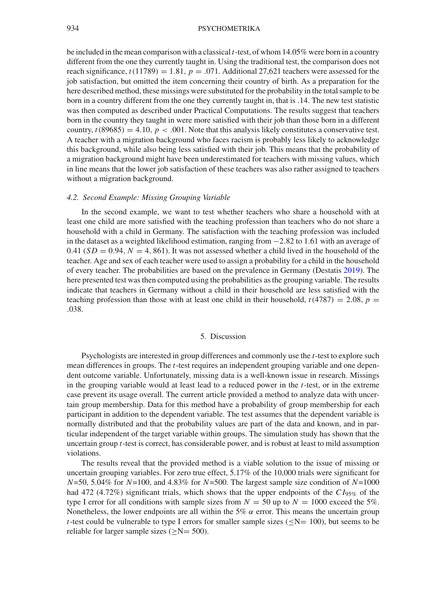## 934 PSYCHOMETRIKA

be included in the mean comparison with a classical *t*-test, of whom 14.05% were born in a country different from the one they currently taught in. Using the traditional test, the comparison does not reach significance,  $t(11789) = 1.81$ ,  $p = .071$ . Additional 27,621 teachers were assessed for the job satisfaction, but omitted the item concerning their country of birth. As a preparation for the here described method, these missings were substituted for the probability in the total sample to be born in a country different from the one they currently taught in, that is .14. The new test statistic was then computed as described under Practical Computations. The results suggest that teachers born in the country they taught in were more satisfied with their job than those born in a different country,  $t(89685) = 4.10$ ,  $p < .001$ . Note that this analysis likely constitutes a conservative test. A teacher with a migration background who faces racism is probably less likely to acknowledge this background, while also being less satisfied with their job. This means that the probability of a migration background might have been underestimated for teachers with missing values, which in line means that the lower job satisfaction of these teachers was also rather assigned to teachers without a migration background.

## *4.2. Second Example: Missing Grouping Variable*

In the second example, we want to test whether teachers who share a household with at least one child are more satisfied with the teaching profession than teachers who do not share a household with a child in Germany. The satisfaction with the teaching profession was included in the dataset as a weighted likelihood estimation, ranging from −2.82 to 1.61 with an average of 0.41 ( $SD = 0.94$ ,  $N = 4$ , 861). It was not assessed whether a child lived in the household of the teacher. Age and sex of each teacher were used to assign a probability for a child in the household of every teacher. The probabilities are based on the prevalence in Germany (Destatis [2019\)](#page-16-17). The here presented test was then computed using the probabilities as the grouping variable. The results indicate that teachers in Germany without a child in their household are less satisfied with the teaching profession than those with at least one child in their household,  $t(4787) = 2.08$ ,  $p =$ .038.

#### 5. Discussion

Psychologists are interested in group differences and commonly use the *t*-test to explore such mean differences in groups. The *t*-test requires an independent grouping variable and one dependent outcome variable. Unfortunately, missing data is a well-known issue in research. Missings in the grouping variable would at least lead to a reduced power in the *t*-test, or in the extreme case prevent its usage overall. The current article provided a method to analyze data with uncertain group membership. Data for this method have a probability of group membership for each participant in addition to the dependent variable. The test assumes that the dependent variable is normally distributed and that the probability values are part of the data and known, and in particular independent of the target variable within groups. The simulation study has shown that the uncertain group *t*-test is correct, has considerable power, and is robust at least to mild assumption violations.

The results reveal that the provided method is a viable solution to the issue of missing or uncertain grouping variables. For zero true effect, 5.17% of the 10,000 trials were significant for *N*=50, 5.04% for *N*=100, and 4.83% for *N*=500. The largest sample size condition of *N*=1000 had 472 (4.72%) significant trials, which shows that the upper endpoints of the *CI*<sub>95%</sub> of the type I error for all conditions with sample sizes from  $N = 50$  up to  $N = 1000$  exceed the 5%. Nonetheless, the lower endpoints are all within the 5%  $\alpha$  error. This means the uncertain group *t*-test could be vulnerable to type I errors for smaller sample sizes ( $\le N = 100$ ), but seems to be reliable for larger sample sizes  $(>N= 500)$ .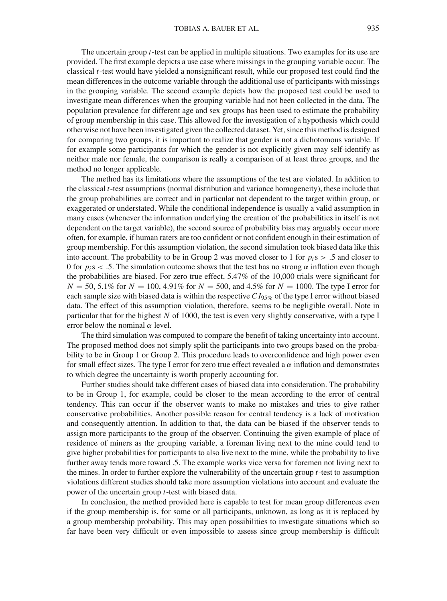The uncertain group *t*-test can be applied in multiple situations. Two examples for its use are provided. The first example depicts a use case where missings in the grouping variable occur. The classical *t*-test would have yielded a nonsignificant result, while our proposed test could find the mean differences in the outcome variable through the additional use of participants with missings in the grouping variable. The second example depicts how the proposed test could be used to investigate mean differences when the grouping variable had not been collected in the data. The population prevalence for different age and sex groups has been used to estimate the probability of group membership in this case. This allowed for the investigation of a hypothesis which could otherwise not have been investigated given the collected dataset. Yet, since this method is designed for comparing two groups, it is important to realize that gender is not a dichotomous variable. If for example some participants for which the gender is not explicitly given may self-identify as neither male nor female, the comparison is really a comparison of at least three groups, and the method no longer applicable.

The method has its limitations where the assumptions of the test are violated. In addition to the classical *t*-test assumptions (normal distribution and variance homogeneity), these include that the group probabilities are correct and in particular not dependent to the target within group, or exaggerated or understated. While the conditional independence is usually a valid assumption in many cases (whenever the information underlying the creation of the probabilities in itself is not dependent on the target variable), the second source of probability bias may arguably occur more often, for example, if human raters are too confident or not confident enough in their estimation of group membership. For this assumption violation, the second simulation took biased data like this into account. The probability to be in Group 2 was moved closer to 1 for  $p_i s > 0.5$  and closer to 0 for  $p_i$ s < .5. The simulation outcome shows that the test has no strong  $\alpha$  inflation even though the probabilities are biased. For zero true effect, 5.47% of the 10,000 trials were significant for  $N = 50, 5.1\%$  for  $N = 100, 4.91\%$  for  $N = 500$ , and  $4.5\%$  for  $N = 1000$ . The type I error for each sample size with biased data is within the respective *C I*95% of the type I error without biased data. The effect of this assumption violation, therefore, seems to be negligible overall. Note in particular that for the highest *N* of 1000, the test is even very slightly conservative, with a type I error below the nominal  $\alpha$  level.

The third simulation was computed to compare the benefit of taking uncertainty into account. The proposed method does not simply split the participants into two groups based on the probability to be in Group 1 or Group 2. This procedure leads to overconfidence and high power even for small effect sizes. The type I error for zero true effect revealed a  $\alpha$  inflation and demonstrates to which degree the uncertainty is worth properly accounting for.

Further studies should take different cases of biased data into consideration. The probability to be in Group 1, for example, could be closer to the mean according to the error of central tendency. This can occur if the observer wants to make no mistakes and tries to give rather conservative probabilities. Another possible reason for central tendency is a lack of motivation and consequently attention. In addition to that, the data can be biased if the observer tends to assign more participants to the group of the observer. Continuing the given example of place of residence of miners as the grouping variable, a foreman living next to the mine could tend to give higher probabilities for participants to also live next to the mine, while the probability to live further away tends more toward .5. The example works vice versa for foremen not living next to the mines. In order to further explore the vulnerability of the uncertain group *t*-test to assumption violations different studies should take more assumption violations into account and evaluate the power of the uncertain group *t*-test with biased data.

In conclusion, the method provided here is capable to test for mean group differences even if the group membership is, for some or all participants, unknown, as long as it is replaced by a group membership probability. This may open possibilities to investigate situations which so far have been very difficult or even impossible to assess since group membership is difficult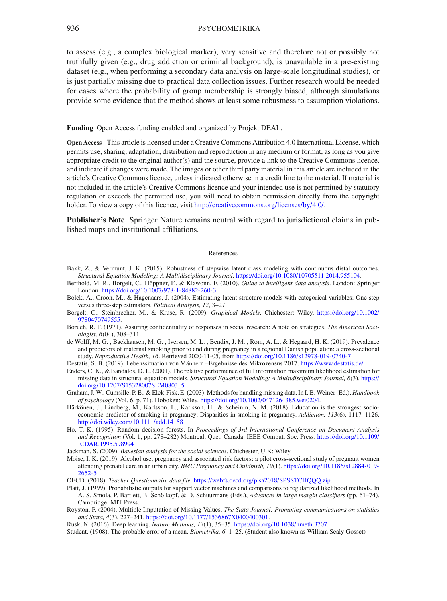to assess (e.g., a complex biological marker), very sensitive and therefore not or possibly not truthfully given (e.g., drug addiction or criminal background), is unavailable in a pre-existing dataset (e.g., when performing a secondary data analysis on large-scale longitudinal studies), or is just partially missing due to practical data collection issues. Further research would be needed for cases where the probability of group membership is strongly biased, although simulations provide some evidence that the method shows at least some robustness to assumption violations.

**Funding** Open Access funding enabled and organized by Projekt DEAL.

**Open Access** This article is licensed under a Creative Commons Attribution 4.0 International License, which permits use, sharing, adaptation, distribution and reproduction in any medium or format, as long as you give appropriate credit to the original author(s) and the source, provide a link to the Creative Commons licence, and indicate if changes were made. The images or other third party material in this article are included in the article's Creative Commons licence, unless indicated otherwise in a credit line to the material. If material is not included in the article's Creative Commons licence and your intended use is not permitted by statutory regulation or exceeds the permitted use, you will need to obtain permission directly from the copyright holder. To view a copy of this licence, visit [http://creativecommons.org/licenses/by/4.0/.](http://creativecommons.org/licenses/by/4.0/)

**Publisher's Note** Springer Nature remains neutral with regard to jurisdictional claims in published maps and institutional affiliations.

#### References

- <span id="page-16-14"></span>Bakk, Z., & Vermunt, J. K. (2015). Robustness of stepwise latent class modeling with continuous distal outcomes. *Structural Equation Modeling: A Multidisciplinary Journal*. [https://doi.org/10.1080/10705511.2014.955104.](https://doi.org/10.1080/10705511.2014.955104)
- <span id="page-16-2"></span>Berthold, M. R., Borgelt, C., Höppner, F., & Klawonn, F. (2010). *Guide to intelligent data analysis*. London: Springer London. [https://doi.org/10.1007/978-1-84882-260-3.](https://doi.org/10.1007/978-1-84882-260-3)
- <span id="page-16-15"></span>Bolck, A., Croon, M., & Hagenaars, J. (2004). Estimating latent structure models with categorical variables: One-step versus three-step estimators. *Political Analysis*, *12*, 3–27.
- <span id="page-16-1"></span>Borgelt, C., Steinbrecher, M., & Kruse, R. (2009). *Graphical Models*. Chichester: Wiley. [https://doi.org/10.1002/](https://doi.org/10.1002/9780470749555) [9780470749555.](https://doi.org/10.1002/9780470749555)
- <span id="page-16-6"></span>Boruch, R. F. (1971). Assuring confidentiality of responses in social research: A note on strategies. *The American Sociologist, 6*(04), 308–311.
- <span id="page-16-7"></span>de Wolff, M. G. , Backhausen, M. G. , Iversen, M. L. , Bendix, J. M. , Rom, A. L., & Hegaard, H. K. (2019). Prevalence and predictors of maternal smoking prior to and during pregnancy in a regional Danish population: a cross-sectional study. *Reproductive Health, 16*. Retrieved 2020-11-05, from <https://doi.org/10.1186/s12978-019-0740-7>
- <span id="page-16-17"></span>Destatis, S. B. (2019). Lebenssituation von Männern –Ergebnisse des Mikrozensus 2017. <https://www.destatis.de/>
- <span id="page-16-13"></span>Enders, C. K., & Bandalos, D. L. (2001). The relative performance of full information maximum likelihood estimation for missing data in structural equation models. *Structural Equation Modeling: A Multidisciplinary Journal, 8*(3). [https://](https://doi.org/10.1207/S15328007SEM0803_5) [doi.org/10.1207/S15328007SEM0803\\_5.](https://doi.org/10.1207/S15328007SEM0803_5)
- <span id="page-16-11"></span>Graham, J. W., Cumsille, P. E., & Elek-Fisk, E. (2003). Methods for handling missing data. In I. B. Weiner (Ed.), *Handbook of psychology* (Vol. 6, p. 71). Hoboken: Wiley. [https://doi.org/10.1002/0471264385.wei0204.](https://doi.org/10.1002/0471264385.wei0204)
- <span id="page-16-8"></span>Härkönen, J., Lindberg, M., Karlsson, L., Karlsson, H., & Scheinin, N. M. (2018). Education is the strongest socioeconomic predictor of smoking in pregnancy: Disparities in smoking in pregnancy. *Addiction, 113*(6), 1117–1126. [http://doi.wiley.com/10.1111/add.14158](http://doi.wiley.com/10.1111/add. 14158)
- <span id="page-16-4"></span>Ho, T. K. (1995). Random decision forests. In *Proceedings of 3rd International Conference on Document Analysis and Recognition* (Vol. 1, pp. 278–282) Montreal, Que., Canada: IEEE Comput. Soc. Press. [https://doi.org/10.1109/](https://doi.org/10.1109/ICDAR.1995.598994) [ICDAR.1995.598994](https://doi.org/10.1109/ICDAR.1995.598994)
- <span id="page-16-10"></span>Jackman, S. (2009). *Bayesian analysis for the social sciences*. Chichester, U.K: Wiley.
- <span id="page-16-9"></span>Moise, I. K. (2019). Alcohol use, pregnancy and associated risk factors: a pilot cross-sectional study of pregnant women attending prenatal care in an urban city. *BMC Pregnancy and Childbirth, 19*(1). [https://doi.org/10.1186/s12884-019-](https://doi.org/10.1186/s12884-019-2652-5) [2652-5](https://doi.org/10.1186/s12884-019-2652-5)
- <span id="page-16-16"></span>OECD. (2018). *Teacher Questionnaire data file*. [https://webfs.oecd.org/pisa2018/SPSSTCHQQQ.zip.](https://webfs.oecd.org/pisa2018/SPSS TCH QQQ.zip)
- <span id="page-16-3"></span>Platt, J. (1999). Probabilistic outputs for support vector machines and comparisons to regularized likelihood methods. In A. S. Smola, P. Bartlett, B. Schölkopf, & D. Schuurmans (Eds.), *Advances in large margin classifiers* (pp. 61–74). Cambridge: MIT Press.
- <span id="page-16-12"></span>Royston, P. (2004). Multiple Imputation of Missing Values. *The Stata Journal: Promoting communications on statistics and Stata, 4*(3), 227–241. [https://doi.org/10.1177/1536867X0400400301.](https://doi.org/10.1177/1536867X0400400301)
- <span id="page-16-5"></span>Rusk, N. (2016). Deep learning. *Nature Methods, 13*(1), 35–35. [https://doi.org/10.1038/nmeth.3707.](https://doi.org/10.1038/nmeth.3707)
- <span id="page-16-0"></span>Student. (1908). The probable error of a mean. *Biometrika, 6,* 1–25. (Student also known as William Sealy Gosset)